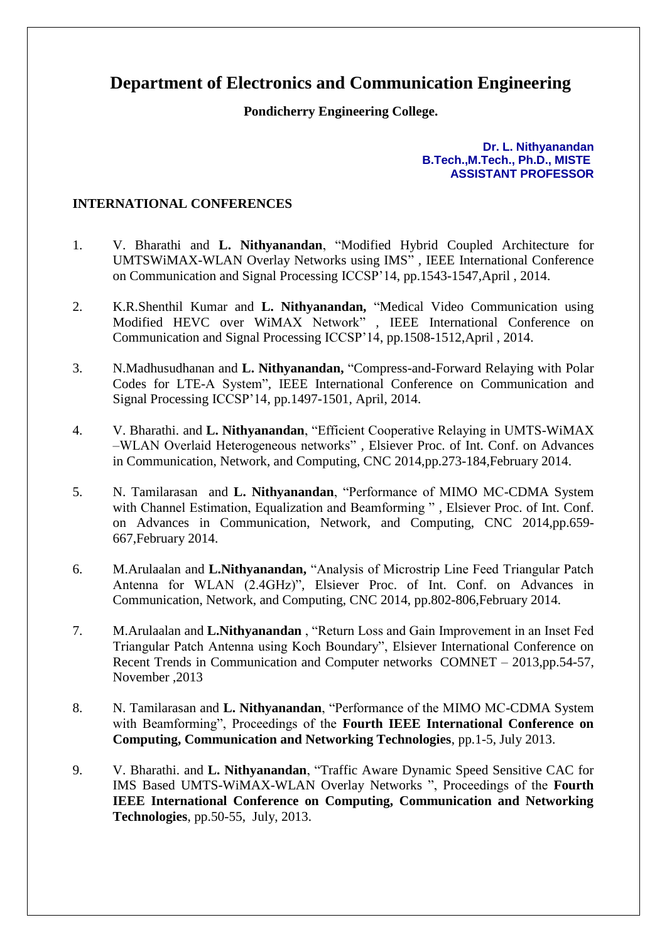## **Department of Electronics and Communication Engineering**

## **Pondicherry Engineering College.**

**Dr. L. Nithyanandan B.Tech.,M.Tech., Ph.D., MISTE ASSISTANT PROFESSOR**

## **INTERNATIONAL CONFERENCES**

- 1. V. Bharathi and **L. Nithyanandan**, "Modified Hybrid Coupled Architecture for UMTSWiMAX-WLAN Overlay Networks using IMS" *,* IEEE International Conference on Communication and Signal Processing ICCSP'14, pp.1543-1547,April , 2014.
- 2. K.R.Shenthil Kumar and **L. Nithyanandan,** "Medical Video Communication using Modified HEVC over WiMAX Network" *,* IEEE International Conference on Communication and Signal Processing ICCSP'14, pp.1508-1512,April , 2014.
- 3. N.Madhusudhanan and **L. Nithyanandan,** "Compress-and-Forward Relaying with Polar Codes for LTE-A System"*,* IEEE International Conference on Communication and Signal Processing ICCSP'14, pp.1497-1501, April, 2014.
- 4. V. Bharathi. and **L. Nithyanandan**, "Efficient Cooperative Relaying in UMTS-WiMAX –WLAN Overlaid Heterogeneous networks" *,* Elsiever Proc. of Int. Conf. on Advances in Communication, Network, and Computing, CNC 2014,pp.273-184,February 2014.
- 5. N. Tamilarasan and **L. Nithyanandan**, "Performance of MIMO MC-CDMA System with Channel Estimation, Equalization and Beamforming " *,* Elsiever Proc. of Int. Conf. on Advances in Communication, Network, and Computing, CNC 2014,pp.659- 667,February 2014.
- 6. M.Arulaalan and **L.Nithyanandan,** "Analysis of Microstrip Line Feed Triangular Patch Antenna for WLAN (2.4GHz)"*,* Elsiever Proc. of Int. Conf. on Advances in Communication, Network, and Computing, CNC 2014, pp.802-806,February 2014.
- 7. M.Arulaalan and **L.Nithyanandan** , "Return Loss and Gain Improvement in an Inset Fed Triangular Patch Antenna using Koch Boundary", Elsiever International Conference on Recent Trends in Communication and Computer networks COMNET – 2013,pp.54-57, November ,2013
- 8. N. Tamilarasan and **L. Nithyanandan**, "Performance of the MIMO MC-CDMA System with Beamforming", Proceedings of the **Fourth IEEE International Conference on Computing, Communication and Networking Technologies**, pp.1-5, July 2013.
- 9. V. Bharathi. and **L. Nithyanandan**, "Traffic Aware Dynamic Speed Sensitive CAC for IMS Based UMTS-WiMAX-WLAN Overlay Networks ", Proceedings of the **Fourth IEEE International Conference on Computing, Communication and Networking Technologies**, pp.50-55, July, 2013.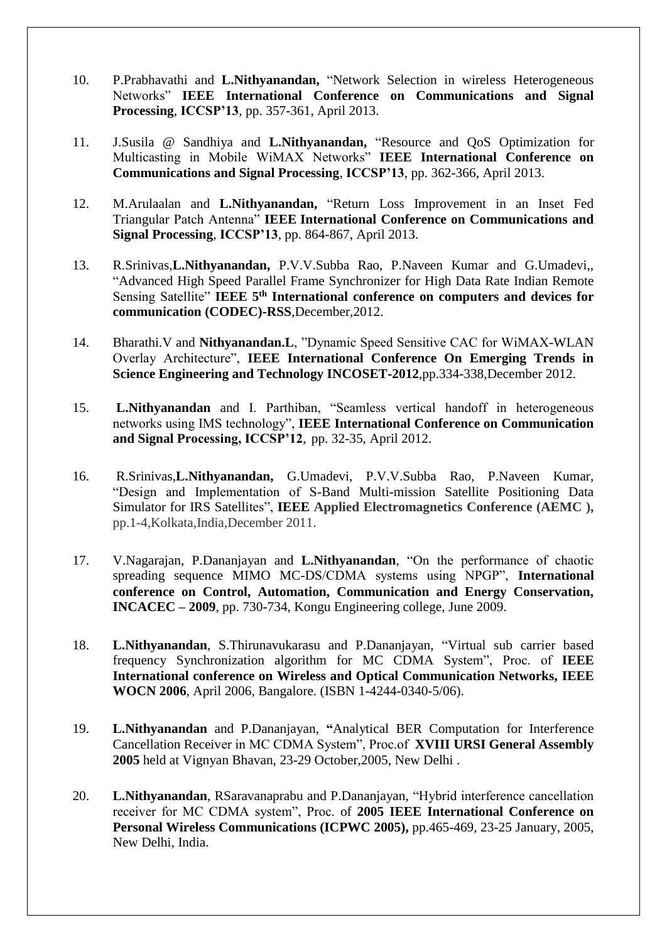- 10. P.Prabhavathi and **L.Nithyanandan,** "Network Selection in wireless Heterogeneous Networks" **IEEE International Conference on Communications and Signal Processing**, **ICCSP'13**, pp. 357-361, April 2013.
- 11. J.Susila @ Sandhiya and **L.Nithyanandan,** "Resource and QoS Optimization for Multicasting in Mobile WiMAX Networks" **IEEE International Conference on Communications and Signal Processing**, **ICCSP'13**, pp. 362-366, April 2013.
- 12. M.Arulaalan and **L.Nithyanandan,** "Return Loss Improvement in an Inset Fed Triangular Patch Antenna" **IEEE International Conference on Communications and Signal Processing**, **ICCSP'13**, pp. 864-867, April 2013.
- 13. R.Srinivas,**L.Nithyanandan,** P.V.V.Subba Rao, P.Naveen Kumar and G.Umadevi,, "Advanced High Speed Parallel Frame Synchronizer for High Data Rate Indian Remote Sensing Satellite" **IEEE 5 th International conference on computers and devices for communication (CODEC)-RSS**,December,2012.
- 14. Bharathi.V and **Nithyanandan.L**, "Dynamic Speed Sensitive CAC for WiMAX-WLAN Overlay Architecture", **IEEE International Conference On Emerging Trends in Science Engineering and Technology INCOSET-2012**,pp.334-338,December 2012.
- 15. **L.Nithyanandan** and I. Parthiban, "Seamless vertical handoff in heterogeneous networks using IMS technology", **IEEE International Conference on Communication and Signal Processing, ICCSP'12**, pp. 32-35, April 2012.
- 16. R.Srinivas,**L.Nithyanandan,** G.Umadevi, P.V.V.Subba Rao, P.Naveen Kumar, "Design and Implementation of S-Band Multi-mission Satellite Positioning Data Simulator for IRS Satellites", **IEEE Applied Electromagnetics Conference (AEMC ),** pp.1-4,Kolkata,India,December 2011.
- 17. V.Nagarajan, P.Dananjayan and **L.Nithyanandan**, "On the performance of chaotic spreading sequence MIMO MC-DS/CDMA systems using NPGP", **International conference on Control, Automation, Communication and Energy Conservation, INCACEC – 2009**, pp. 730-734, Kongu Engineering college, June 2009.
- 18. **L.Nithyanandan**, S.Thirunavukarasu and P.Dananjayan, "Virtual sub carrier based frequency Synchronization algorithm for MC CDMA System", Proc. of **IEEE International conference on Wireless and Optical Communication Networks, IEEE WOCN 2006**, April 2006, Bangalore. (ISBN 1-4244-0340-5/06).
- 19. **L.Nithyanandan** and P.Dananjayan, **"**Analytical BER Computation for Interference Cancellation Receiver in MC CDMA System", Proc.of **XVIII URSI General Assembly 2005** held at Vignyan Bhavan, 23-29 October,2005, New Delhi .
- 20. **L.Nithyanandan**, RSaravanaprabu and P.Dananjayan, "Hybrid interference cancellation receiver for MC CDMA system", Proc. of **2005 IEEE International Conference on Personal Wireless Communications (ICPWC 2005),** pp.465-469, 23-25 January, 2005, New Delhi, India.